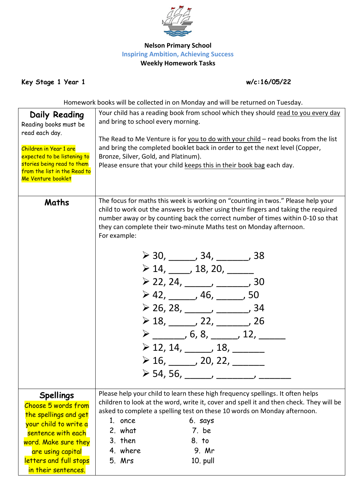

## **Nelson Primary School Inspiring Ambition, Achieving Success Weekly Homework Tasks**

**Key Stage 1 Year 1 w/c:16/05/22**

Homework books will be collected in on Monday and will be returned on Tuesday.

| Daily Reading<br>Reading books must be<br>read each day.<br>Children in Year 1 are<br>expected to be listening to<br>stories being read to them<br>from the list in the Read to<br>Me Venture booklet         | Your child has a reading book from school which they should read to you every day<br>and bring to school every morning.<br>The Read to Me Venture is for you to do with your child - read books from the list<br>and bring the completed booklet back in order to get the next level (Copper,<br>Bronze, Silver, Gold, and Platinum).<br>Please ensure that your child keeps this in their book bag each day.                                                                                                                                                                                                                                                                                                                                                                                        |
|---------------------------------------------------------------------------------------------------------------------------------------------------------------------------------------------------------------|------------------------------------------------------------------------------------------------------------------------------------------------------------------------------------------------------------------------------------------------------------------------------------------------------------------------------------------------------------------------------------------------------------------------------------------------------------------------------------------------------------------------------------------------------------------------------------------------------------------------------------------------------------------------------------------------------------------------------------------------------------------------------------------------------|
| Maths                                                                                                                                                                                                         | The focus for maths this week is working on "counting in twos." Please help your<br>child to work out the answers by either using their fingers and taking the required<br>number away or by counting back the correct number of times within 0-10 so that<br>they can complete their two-minute Maths test on Monday afternoon.<br>For example:<br>$\geq$ 30, ______, 34, ______, 38<br>$\geq 14, \underline{\qquad}$ , 18, 20, $\underline{\qquad}$<br>$\geq$ 22, 24, _____, ______, 30<br>$\geq 42, \_\_\_\_$ , 46, $\_\_\_\_$ , 50<br>$\geq$ 26, 28, ______, _______, 34<br>$\geq 18, \_\_\_\_$ 22, $\_\_\_\_$ 26<br>$\triangleright$ _________, 6, 8, _______, 12, _______<br>$\geq$ 12, 14, _____, 18, ______<br>$\geq 16, \_\_\_\_$ , 20, 22, $\_\_\_\_\_\_\_\_\_$<br>≻ 54, 56, _____, ______ |
| <b>Spellings</b><br>Choose 5 words from<br>the spellings and get<br>your child to write a<br>sentence with each<br>word. Make sure they<br>are using capital<br>letters and full stops<br>in their sentences. | Please help your child to learn these high frequency spellings. It often helps<br>children to look at the word, write it, cover and spell it and then check. They will be<br>asked to complete a spelling test on these 10 words on Monday afternoon.<br>1. once<br>6. says<br>2. what<br>7. be<br>3. then<br>8. to<br>4. where<br>9. Mr<br>5. Mrs<br>10. pull                                                                                                                                                                                                                                                                                                                                                                                                                                       |